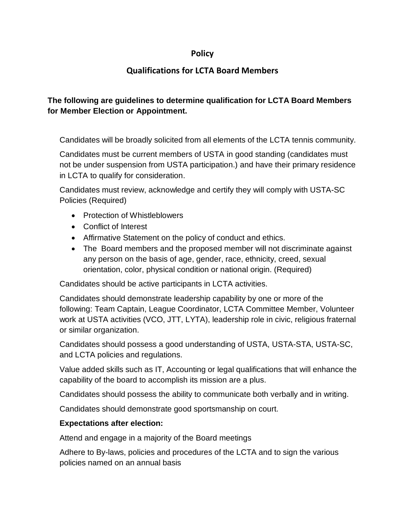## **Policy**

## **Qualifications for LCTA Board Members**

## **The following are guidelines to determine qualification for LCTA Board Members for Member Election or Appointment.**

Candidates will be broadly solicited from all elements of the LCTA tennis community.

Candidates must be current members of USTA in good standing (candidates must not be under suspension from USTA participation.) and have their primary residence in LCTA to qualify for consideration.

Candidates must review, acknowledge and certify they will comply with USTA-SC Policies (Required)

- Protection of Whistleblowers
- Conflict of Interest
- Affirmative Statement on the policy of conduct and ethics.
- The Board members and the proposed member will not discriminate against any person on the basis of age, gender, race, ethnicity, creed, sexual orientation, color, physical condition or national origin. (Required)

Candidates should be active participants in LCTA activities.

Candidates should demonstrate leadership capability by one or more of the following: Team Captain, League Coordinator, LCTA Committee Member, Volunteer work at USTA activities (VCO, JTT, LYTA), leadership role in civic, religious fraternal or similar organization.

Candidates should possess a good understanding of USTA, USTA-STA, USTA-SC, and LCTA policies and regulations.

Value added skills such as IT, Accounting or legal qualifications that will enhance the capability of the board to accomplish its mission are a plus.

Candidates should possess the ability to communicate both verbally and in writing.

Candidates should demonstrate good sportsmanship on court.

## **Expectations after election:**

Attend and engage in a majority of the Board meetings

Adhere to By-laws, policies and procedures of the LCTA and to sign the various policies named on an annual basis